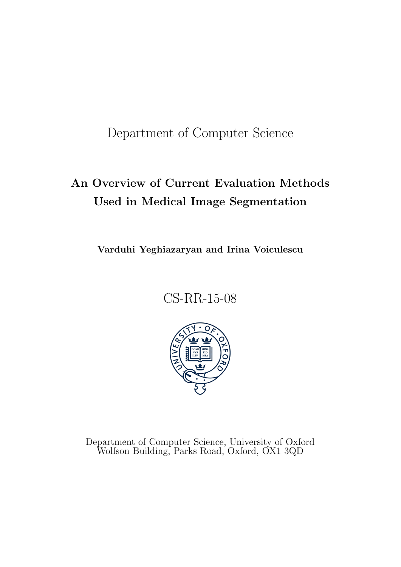Department of Computer Science

# An Overview of Current Evaluation Methods Used in Medical Image Segmentation

Varduhi Yeghiazaryan and Irina Voiculescu

CS-RR-15-08



Department of Computer Science, University of Oxford Wolfson Building, Parks Road, Oxford, OX1 3QD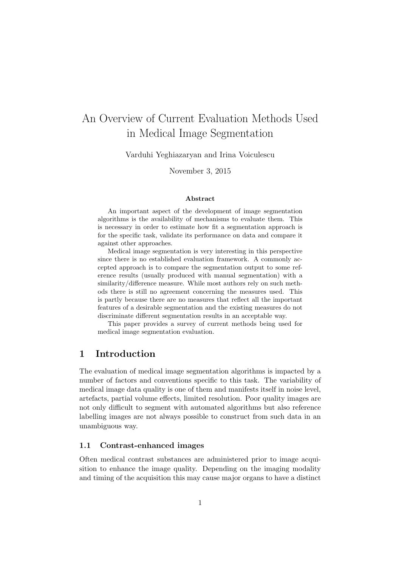## An Overview of Current Evaluation Methods Used in Medical Image Segmentation

Varduhi Yeghiazaryan and Irina Voiculescu

November 3, 2015

#### Abstract

An important aspect of the development of image segmentation algorithms is the availability of mechanisms to evaluate them. This is necessary in order to estimate how fit a segmentation approach is for the specific task, validate its performance on data and compare it against other approaches.

Medical image segmentation is very interesting in this perspective since there is no established evaluation framework. A commonly accepted approach is to compare the segmentation output to some reference results (usually produced with manual segmentation) with a similarity/difference measure. While most authors rely on such methods there is still no agreement concerning the measures used. This is partly because there are no measures that reflect all the important features of a desirable segmentation and the existing measures do not discriminate different segmentation results in an acceptable way.

This paper provides a survey of current methods being used for medical image segmentation evaluation.

## 1 Introduction

The evaluation of medical image segmentation algorithms is impacted by a number of factors and conventions specific to this task. The variability of medical image data quality is one of them and manifests itself in noise level, artefacts, partial volume effects, limited resolution. Poor quality images are not only difficult to segment with automated algorithms but also reference labelling images are not always possible to construct from such data in an unambiguous way.

#### 1.1 Contrast-enhanced images

Often medical contrast substances are administered prior to image acquisition to enhance the image quality. Depending on the imaging modality and timing of the acquisition this may cause major organs to have a distinct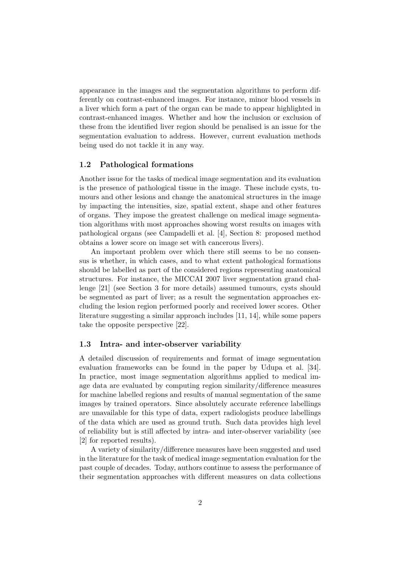appearance in the images and the segmentation algorithms to perform differently on contrast-enhanced images. For instance, minor blood vessels in a liver which form a part of the organ can be made to appear highlighted in contrast-enhanced images. Whether and how the inclusion or exclusion of these from the identified liver region should be penalised is an issue for the segmentation evaluation to address. However, current evaluation methods being used do not tackle it in any way.

#### 1.2 Pathological formations

Another issue for the tasks of medical image segmentation and its evaluation is the presence of pathological tissue in the image. These include cysts, tumours and other lesions and change the anatomical structures in the image by impacting the intensities, size, spatial extent, shape and other features of organs. They impose the greatest challenge on medical image segmentation algorithms with most approaches showing worst results on images with pathological organs (see Campadelli et al. [4], Section 8: proposed method obtains a lower score on image set with cancerous livers).

An important problem over which there still seems to be no consensus is whether, in which cases, and to what extent pathological formations should be labelled as part of the considered regions representing anatomical structures. For instance, the MICCAI 2007 liver segmentation grand challenge [21] (see Section 3 for more details) assumed tumours, cysts should be segmented as part of liver; as a result the segmentation approaches excluding the lesion region performed poorly and received lower scores. Other literature suggesting a similar approach includes [11, 14], while some papers take the opposite perspective [22].

#### 1.3 Intra- and inter-observer variability

A detailed discussion of requirements and format of image segmentation evaluation frameworks can be found in the paper by Udupa et al. [34]. In practice, most image segmentation algorithms applied to medical image data are evaluated by computing region similarity/difference measures for machine labelled regions and results of manual segmentation of the same images by trained operators. Since absolutely accurate reference labellings are unavailable for this type of data, expert radiologists produce labellings of the data which are used as ground truth. Such data provides high level of reliability but is still affected by intra- and inter-observer variability (see [2] for reported results).

A variety of similarity/difference measures have been suggested and used in the literature for the task of medical image segmentation evaluation for the past couple of decades. Today, authors continue to assess the performance of their segmentation approaches with different measures on data collections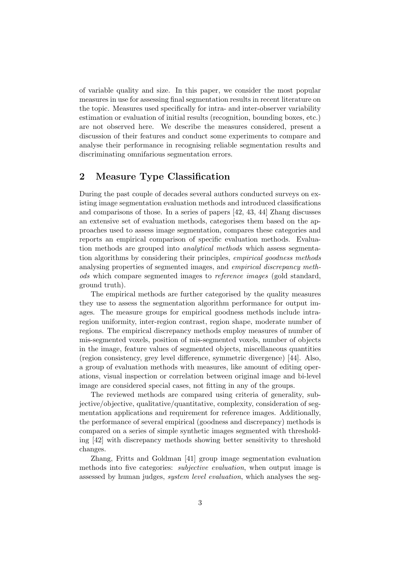of variable quality and size. In this paper, we consider the most popular measures in use for assessing final segmentation results in recent literature on the topic. Measures used specifically for intra- and inter-observer variability estimation or evaluation of initial results (recognition, bounding boxes, etc.) are not observed here. We describe the measures considered, present a discussion of their features and conduct some experiments to compare and analyse their performance in recognising reliable segmentation results and discriminating omnifarious segmentation errors.

## 2 Measure Type Classification

During the past couple of decades several authors conducted surveys on existing image segmentation evaluation methods and introduced classifications and comparisons of those. In a series of papers [42, 43, 44] Zhang discusses an extensive set of evaluation methods, categorises them based on the approaches used to assess image segmentation, compares these categories and reports an empirical comparison of specific evaluation methods. Evaluation methods are grouped into analytical methods which assess segmentation algorithms by considering their principles, empirical goodness methods analysing properties of segmented images, and empirical discrepancy methods which compare segmented images to reference images (gold standard, ground truth).

The empirical methods are further categorised by the quality measures they use to assess the segmentation algorithm performance for output images. The measure groups for empirical goodness methods include intraregion uniformity, inter-region contrast, region shape, moderate number of regions. The empirical discrepancy methods employ measures of number of mis-segmented voxels, position of mis-segmented voxels, number of objects in the image, feature values of segmented objects, miscellaneous quantities (region consistency, grey level difference, symmetric divergence) [44]. Also, a group of evaluation methods with measures, like amount of editing operations, visual inspection or correlation between original image and bi-level image are considered special cases, not fitting in any of the groups.

The reviewed methods are compared using criteria of generality, subjective/objective, qualitative/quantitative, complexity, consideration of segmentation applications and requirement for reference images. Additionally, the performance of several empirical (goodness and discrepancy) methods is compared on a series of simple synthetic images segmented with thresholding [42] with discrepancy methods showing better sensitivity to threshold changes.

Zhang, Fritts and Goldman [41] group image segmentation evaluation methods into five categories: *subjective evaluation*, when output image is assessed by human judges, system level evaluation, which analyses the seg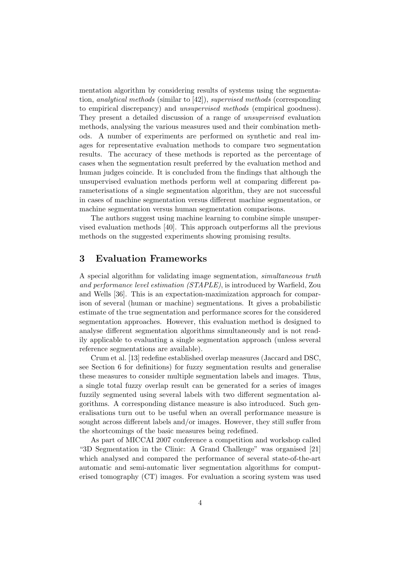mentation algorithm by considering results of systems using the segmentation, analytical methods (similar to [42]), supervised methods (corresponding to empirical discrepancy) and unsupervised methods (empirical goodness). They present a detailed discussion of a range of unsupervised evaluation methods, analysing the various measures used and their combination methods. A number of experiments are performed on synthetic and real images for representative evaluation methods to compare two segmentation results. The accuracy of these methods is reported as the percentage of cases when the segmentation result preferred by the evaluation method and human judges coincide. It is concluded from the findings that although the unsupervised evaluation methods perform well at comparing different parameterisations of a single segmentation algorithm, they are not successful in cases of machine segmentation versus different machine segmentation, or machine segmentation versus human segmentation comparisons.

The authors suggest using machine learning to combine simple unsupervised evaluation methods [40]. This approach outperforms all the previous methods on the suggested experiments showing promising results.

## 3 Evaluation Frameworks

A special algorithm for validating image segmentation, simultaneous truth and performance level estimation (STAPLE), is introduced by Warfield, Zou and Wells [36]. This is an expectation-maximization approach for comparison of several (human or machine) segmentations. It gives a probabilistic estimate of the true segmentation and performance scores for the considered segmentation approaches. However, this evaluation method is designed to analyse different segmentation algorithms simultaneously and is not readily applicable to evaluating a single segmentation approach (unless several reference segmentations are available).

Crum et al. [13] redefine established overlap measures (Jaccard and DSC, see Section 6 for definitions) for fuzzy segmentation results and generalise these measures to consider multiple segmentation labels and images. Thus, a single total fuzzy overlap result can be generated for a series of images fuzzily segmented using several labels with two different segmentation algorithms. A corresponding distance measure is also introduced. Such generalisations turn out to be useful when an overall performance measure is sought across different labels and/or images. However, they still suffer from the shortcomings of the basic measures being redefined.

As part of MICCAI 2007 conference a competition and workshop called "3D Segmentation in the Clinic: A Grand Challenge" was organised [21] which analysed and compared the performance of several state-of-the-art automatic and semi-automatic liver segmentation algorithms for computerised tomography (CT) images. For evaluation a scoring system was used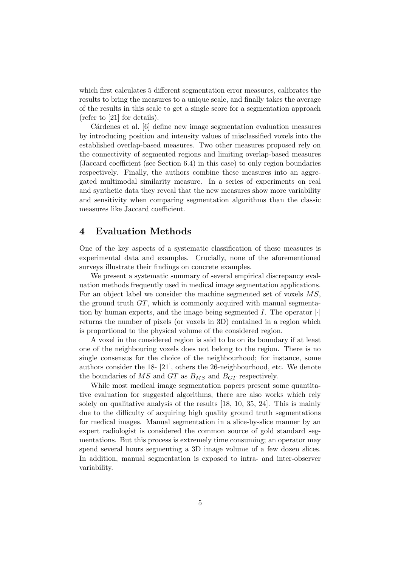which first calculates 5 different segmentation error measures, calibrates the results to bring the measures to a unique scale, and finally takes the average of the results in this scale to get a single score for a segmentation approach (refer to [21] for details).

Cárdenes et al. [6] define new image segmentation evaluation measures by introducing position and intensity values of misclassified voxels into the established overlap-based measures. Two other measures proposed rely on the connectivity of segmented regions and limiting overlap-based measures (Jaccard coefficient (see Section 6.4) in this case) to only region boundaries respectively. Finally, the authors combine these measures into an aggregated multimodal similarity measure. In a series of experiments on real and synthetic data they reveal that the new measures show more variability and sensitivity when comparing segmentation algorithms than the classic measures like Jaccard coefficient.

## 4 Evaluation Methods

One of the key aspects of a systematic classification of these measures is experimental data and examples. Crucially, none of the aforementioned surveys illustrate their findings on concrete examples.

We present a systematic summary of several empirical discrepancy evaluation methods frequently used in medical image segmentation applications. For an object label we consider the machine segmented set of voxels MS, the ground truth GT, which is commonly acquired with manual segmentation by human experts, and the image being segmented  $I$ . The operator  $\lvert \cdot \rvert$ returns the number of pixels (or voxels in 3D) contained in a region which is proportional to the physical volume of the considered region.

A voxel in the considered region is said to be on its boundary if at least one of the neighbouring voxels does not belong to the region. There is no single consensus for the choice of the neighbourhood; for instance, some authors consider the 18- [21], others the 26-neighbourhood, etc. We denote the boundaries of  $MS$  and  $GT$  as  $B_{MS}$  and  $B_{GT}$  respectively.

While most medical image segmentation papers present some quantitative evaluation for suggested algorithms, there are also works which rely solely on qualitative analysis of the results [18, 10, 35, 24]. This is mainly due to the difficulty of acquiring high quality ground truth segmentations for medical images. Manual segmentation in a slice-by-slice manner by an expert radiologist is considered the common source of gold standard segmentations. But this process is extremely time consuming; an operator may spend several hours segmenting a 3D image volume of a few dozen slices. In addition, manual segmentation is exposed to intra- and inter-observer variability.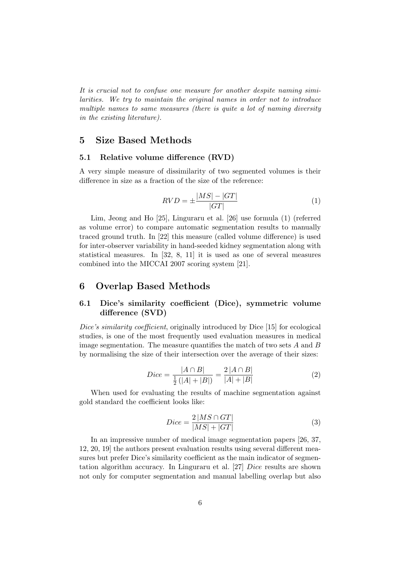It is crucial not to confuse one measure for another despite naming similarities. We try to maintain the original names in order not to introduce multiple names to same measures (there is quite a lot of naming diversity in the existing literature).

## 5 Size Based Methods

#### 5.1 Relative volume difference (RVD)

A very simple measure of dissimilarity of two segmented volumes is their difference in size as a fraction of the size of the reference:

$$
RVD = \pm \frac{|MS| - |GT|}{|GT|} \tag{1}
$$

Lim, Jeong and Ho [25], Linguraru et al. [26] use formula (1) (referred as volume error) to compare automatic segmentation results to manually traced ground truth. In [22] this measure (called volume difference) is used for inter-observer variability in hand-seeded kidney segmentation along with statistical measures. In [32, 8, 11] it is used as one of several measures combined into the MICCAI 2007 scoring system [21].

## 6 Overlap Based Methods

## 6.1 Dice's similarity coefficient (Dice), symmetric volume difference (SVD)

Dice's similarity coefficient, originally introduced by Dice [15] for ecological studies, is one of the most frequently used evaluation measures in medical image segmentation. The measure quantifies the match of two sets  $A$  and  $B$ by normalising the size of their intersection over the average of their sizes:

$$
Dice = \frac{|A \cap B|}{\frac{1}{2}(|A| + |B|)} = \frac{2|A \cap B|}{|A| + |B|}
$$
(2)

When used for evaluating the results of machine segmentation against gold standard the coefficient looks like:

$$
Dice = \frac{2|MS \cap GT|}{|MS| + |GT|}
$$
\n(3)

In an impressive number of medical image segmentation papers [26, 37, 12, 20, 19] the authors present evaluation results using several different measures but prefer Dice's similarity coefficient as the main indicator of segmentation algorithm accuracy. In Linguraru et al. [27] Dice results are shown not only for computer segmentation and manual labelling overlap but also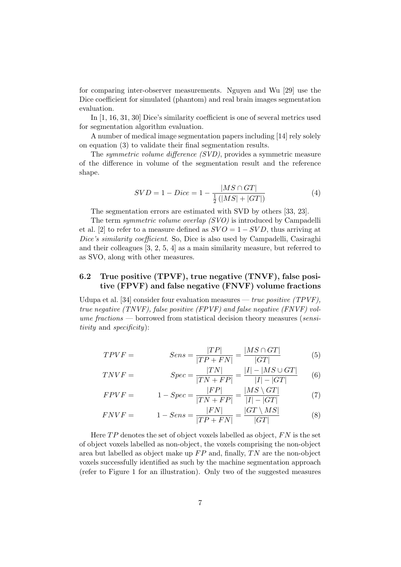for comparing inter-observer measurements. Nguyen and Wu [29] use the Dice coefficient for simulated (phantom) and real brain images segmentation evaluation.

In [1, 16, 31, 30] Dice's similarity coefficient is one of several metrics used for segmentation algorithm evaluation.

A number of medical image segmentation papers including [14] rely solely on equation (3) to validate their final segmentation results.

The symmetric volume difference (SVD), provides a symmetric measure of the difference in volume of the segmentation result and the reference shape.

$$
SVD = 1 - Dice = 1 - \frac{|MS \cap GT|}{\frac{1}{2}(|MS| + |GT|)}
$$
(4)

The segmentation errors are estimated with SVD by others [33, 23].

The term *symmetric volume overlap (SVO)* is introduced by Campadelli et al. [2] to refer to a measure defined as  $SVO = 1 - SVD$ , thus arriving at Dice's similarity coefficient. So, Dice is also used by Campadelli, Casiraghi and their colleagues [3, 2, 5, 4] as a main similarity measure, but referred to as SVO, along with other measures.

## 6.2 True positive (TPVF), true negative (TNVF), false positive (FPVF) and false negative (FNVF) volume fractions

Udupa et al. [34] consider four evaluation measures — true positive  $(TPVF)$ . true negative (TNVF), false positive (FPVF) and false negative (FNVF) vol $u$ me fractions — borrowed from statistical decision theory measures (sensitivity and specificity):

$$
TPVF = \qquad \qquad Sens = \frac{|TP|}{|TP + FN|} = \frac{|MS \cap GT|}{|GT|} \tag{5}
$$

$$
TNVF = \t\t Spec = \frac{|TN|}{|TN + FP|} = \frac{|I| - |MS \cup GT|}{|I| - |GT|} \t(6)
$$

$$
FPVF = 1 - Spec = \frac{|FP|}{|TN + FP|} = \frac{|MS \setminus GT|}{|I| - |GT|}
$$
(7)

$$
FNVF = 1 - Sens = \frac{|FN|}{|TP + FN|} = \frac{|GT \setminus MS|}{|GT|} \tag{8}
$$

Here  $TP$  denotes the set of object voxels labelled as object,  $FN$  is the set of object voxels labelled as non-object, the voxels comprising the non-object area but labelled as object make up  $FP$  and, finally, TN are the non-object voxels successfully identified as such by the machine segmentation approach (refer to Figure 1 for an illustration). Only two of the suggested measures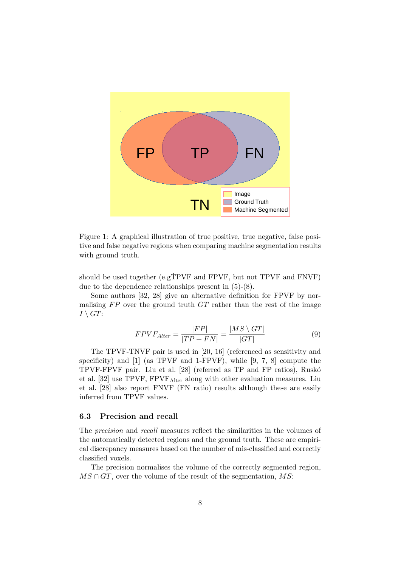

Figure 1: A graphical illustration of true positive, true negative, false positive and false negative regions when comparing machine segmentation results with ground truth.

should be used together (e.gTPVF and FPVF, but not TPVF and FNVF) due to the dependence relationships present in (5)-(8).

Some authors [32, 28] give an alternative definition for FPVF by normalising  $FP$  over the ground truth  $GT$  rather than the rest of the image  $I \setminus GT$ :

$$
FPVF_{After} = \frac{|FP|}{|TP + FN|} = \frac{|MS \setminus GT|}{|GT|} \tag{9}
$$

The TPVF-TNVF pair is used in [20, 16] (referenced as sensitivity and specificity) and [1] (as TPVF and 1-FPVF), while [9, 7, 8] compute the TPVF-FPVF pair. Liu et al. [28] (referred as TP and FP ratios), Rusk´o et al. [32] use TPVF, FPVFAlter along with other evaluation measures. Liu et al. [28] also report FNVF (FN ratio) results although these are easily inferred from TPVF values.

#### 6.3 Precision and recall

The precision and recall measures reflect the similarities in the volumes of the automatically detected regions and the ground truth. These are empirical discrepancy measures based on the number of mis-classified and correctly classified voxels.

The precision normalises the volume of the correctly segmented region,  $MS \cap GT$ , over the volume of the result of the segmentation, MS: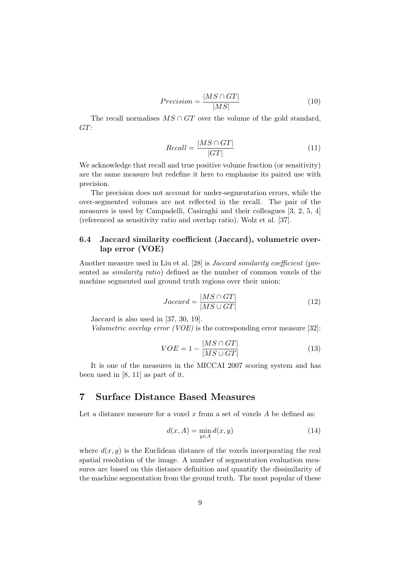$$
Precision = \frac{|MS \cap GT|}{|MS|} \tag{10}
$$

The recall normalises  $MS \cap GT$  over the volume of the gold standard, GT:

$$
Recall = \frac{|MS \cap GT|}{|GT|} \tag{11}
$$

We acknowledge that recall and true positive volume fraction (or sensitivity) are the same measure but redefine it here to emphasise its paired use with precision.

The precision does not account for under-segmentation errors, while the over-segmented volumes are not reflected in the recall. The pair of the measures is used by Campadelli, Casiraghi and their colleagues [3, 2, 5, 4] (referenced as sensitivity ratio and overlap ratio), Wolz et al. [37].

#### 6.4 Jaccard similarity coefficient (Jaccard), volumetric overlap error (VOE)

Another measure used in Liu et al. [28] is Jaccard similarity coefficient (presented as similarity ratio) defined as the number of common voxels of the machine segmented and ground truth regions over their union:

$$
Jaccard = \frac{|MS \cap GT|}{|MS \cup GT|} \tag{12}
$$

Jaccard is also used in [37, 30, 19].

Volumetric overlap error (VOE) is the corresponding error measure [32]:

$$
VOE = 1 - \frac{|MS \cap GT|}{|MS \cup GT|}
$$
\n(13)

It is one of the measures in the MICCAI 2007 scoring system and has been used in [8, 11] as part of it.

## 7 Surface Distance Based Measures

Let a distance measure for a voxel  $x$  from a set of voxels  $A$  be defined as:

$$
d(x, A) = \min_{y \in A} d(x, y) \tag{14}
$$

where  $d(x, y)$  is the Euclidean distance of the voxels incorporating the real spatial resolution of the image. A number of segmentation evaluation measures are based on this distance definition and quantify the dissimilarity of the machine segmentation from the ground truth. The most popular of these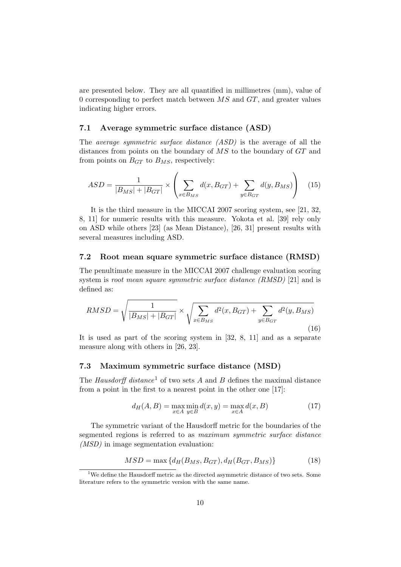are presented below. They are all quantified in millimetres (mm), value of 0 corresponding to perfect match between  $\overline{MS}$  and  $\overline{GT}$ , and greater values indicating higher errors.

#### 7.1 Average symmetric surface distance (ASD)

The average symmetric surface distance (ASD) is the average of all the distances from points on the boundary of  $\overline{MS}$  to the boundary of  $\overline{GT}$  and from points on  $B_{GT}$  to  $B_{MS}$ , respectively:

$$
ASD = \frac{1}{|B_{MS}| + |B_{GT}|} \times \left( \sum_{x \in B_{MS}} d(x, B_{GT}) + \sum_{y \in B_{GT}} d(y, B_{MS}) \right) \quad (15)
$$

It is the third measure in the MICCAI 2007 scoring system, see [21, 32, 8, 11] for numeric results with this measure. Yokota et al. [39] rely only on ASD while others [23] (as Mean Distance), [26, 31] present results with several measures including ASD.

#### 7.2 Root mean square symmetric surface distance (RMSD)

The penultimate measure in the MICCAI 2007 challenge evaluation scoring system is *root mean square symmetric surface distance (RMSD)* [21] and is defined as:

$$
RMSD = \sqrt{\frac{1}{|B_{MS}| + |B_{GT}|}} \times \sqrt{\sum_{x \in B_{MS}} d^2(x, B_{GT}) + \sum_{y \in B_{GT}} d^2(y, B_{MS})}
$$
\n(16)

It is used as part of the scoring system in [32, 8, 11] and as a separate measure along with others in [26, 23].

#### 7.3 Maximum symmetric surface distance (MSD)

The Hausdorff distance<sup>1</sup> of two sets A and B defines the maximal distance from a point in the first to a nearest point in the other one [17]:

$$
d_H(A, B) = \max_{x \in A} \min_{y \in B} d(x, y) = \max_{x \in A} d(x, B)
$$
 (17)

The symmetric variant of the Hausdorff metric for the boundaries of the segmented regions is referred to as maximum symmetric surface distance (MSD) in image segmentation evaluation:

$$
MSD = \max\left\{d_H(B_{MS}, B_{GT}), d_H(B_{GT}, B_{MS})\right\} \tag{18}
$$

 $1$ We define the Hausdorff metric as the directed asymmetric distance of two sets. Some literature refers to the symmetric version with the same name.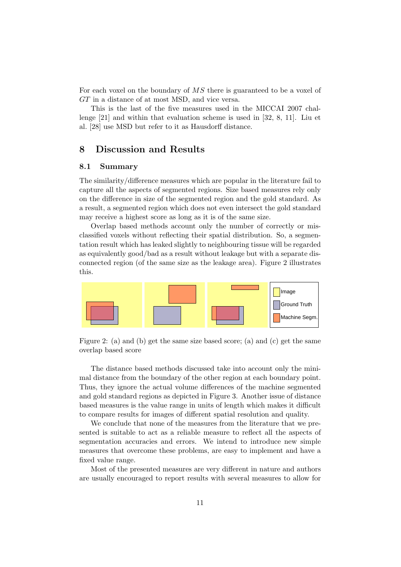For each voxel on the boundary of MS there is guaranteed to be a voxel of GT in a distance of at most MSD, and vice versa.

This is the last of the five measures used in the MICCAI 2007 challenge [21] and within that evaluation scheme is used in [32, 8, 11]. Liu et al. [28] use MSD but refer to it as Hausdorff distance.

## 8 Discussion and Results

#### 8.1 Summary

The similarity/difference measures which are popular in the literature fail to capture all the aspects of segmented regions. Size based measures rely only on the difference in size of the segmented region and the gold standard. As a result, a segmented region which does not even intersect the gold standard may receive a highest score as long as it is of the same size.

Overlap based methods account only the number of correctly or misclassified voxels without reflecting their spatial distribution. So, a segmentation result which has leaked slightly to neighbouring tissue will be regarded as equivalently good/bad as a result without leakage but with a separate disconnected region (of the same size as the leakage area). Figure 2 illustrates this.



Figure 2: (a) and (b) get the same size based score; (a) and (c) get the same overlap based score

The distance based methods discussed take into account only the minimal distance from the boundary of the other region at each boundary point. Thus, they ignore the actual volume differences of the machine segmented and gold standard regions as depicted in Figure 3. Another issue of distance based measures is the value range in units of length which makes it difficult to compare results for images of different spatial resolution and quality.

We conclude that none of the measures from the literature that we presented is suitable to act as a reliable measure to reflect all the aspects of segmentation accuracies and errors. We intend to introduce new simple measures that overcome these problems, are easy to implement and have a fixed value range.

Most of the presented measures are very different in nature and authors are usually encouraged to report results with several measures to allow for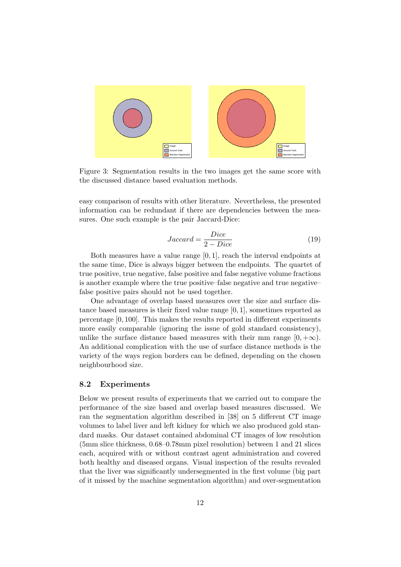

Figure 3: Segmentation results in the two images get the same score with the discussed distance based evaluation methods.

easy comparison of results with other literature. Nevertheless, the presented information can be redundant if there are dependencies between the measures. One such example is the pair Jaccard-Dice:

$$
Jaccard = \frac{Dice}{2 - Dice} \tag{19}
$$

Both measures have a value range [0, 1], reach the interval endpoints at the same time, Dice is always bigger between the endpoints. The quartet of true positive, true negative, false positive and false negative volume fractions is another example where the true positive–false negative and true negative– false positive pairs should not be used together.

One advantage of overlap based measures over the size and surface distance based measures is their fixed value range [0, 1], sometimes reported as percentage [0, 100]. This makes the results reported in different experiments more easily comparable (ignoring the issue of gold standard consistency), unlike the surface distance based measures with their mm range  $[0, +\infty)$ . An additional complication with the use of surface distance methods is the variety of the ways region borders can be defined, depending on the chosen neighbourhood size.

#### 8.2 Experiments

Below we present results of experiments that we carried out to compare the performance of the size based and overlap based measures discussed. We ran the segmentation algorithm described in [38] on 5 different CT image volumes to label liver and left kidney for which we also produced gold standard masks. Our dataset contained abdominal CT images of low resolution (5mm slice thickness, 0.68–0.78mm pixel resolution) between 1 and 21 slices each, acquired with or without contrast agent administration and covered both healthy and diseased organs. Visual inspection of the results revealed that the liver was significantly undersegmented in the first volume (big part of it missed by the machine segmentation algorithm) and over-segmentation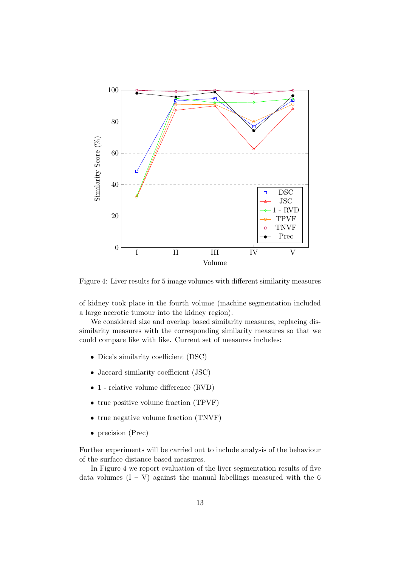

Figure 4: Liver results for 5 image volumes with different similarity measures

of kidney took place in the fourth volume (machine segmentation included a large necrotic tumour into the kidney region).

We considered size and overlap based similarity measures, replacing dissimilarity measures with the corresponding similarity measures so that we could compare like with like. Current set of measures includes:

- Dice's similarity coefficient (DSC)
- Jaccard similarity coefficient (JSC)
- 1 relative volume difference (RVD)
- true positive volume fraction (TPVF)
- true negative volume fraction (TNVF)
- precision (Prec)

Further experiments will be carried out to include analysis of the behaviour of the surface distance based measures.

In Figure 4 we report evaluation of the liver segmentation results of five data volumes  $(I - V)$  against the manual labellings measured with the 6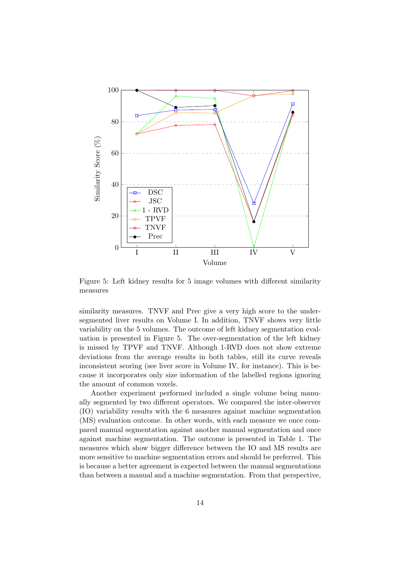

Figure 5: Left kidney results for 5 image volumes with different similarity measures

similarity measures. TNVF and Prec give a very high score to the undersegmented liver results on Volume I. In addition, TNVF shows very little variability on the 5 volumes. The outcome of left kidney segmentation evaluation is presented in Figure 5. The over-segmentation of the left kidney is missed by TPVF and TNVF. Although 1-RVD does not show extreme deviations from the average results in both tables, still its curve reveals inconsistent scoring (see liver score in Volume IV, for instance). This is because it incorporates only size information of the labelled regions ignoring the amount of common voxels.

Another experiment performed included a single volume being manually segmented by two different operators. We compared the inter-observer (IO) variability results with the 6 measures against machine segmentation (MS) evaluation outcome. In other words, with each measure we once compared manual segmentation against another manual segmentation and once against machine segmentation. The outcome is presented in Table 1. The measures which show bigger difference between the IO and MS results are more sensitive to machine segmentation errors and should be preferred. This is because a better agreement is expected between the manual segmentations than between a manual and a machine segmentation. From that perspective,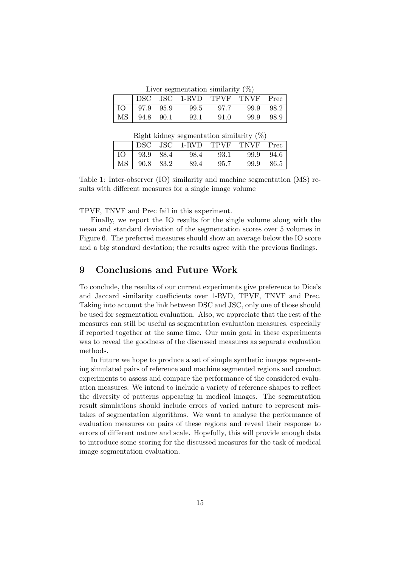Liver segmentation similarity  $(\%)$ 

|    |                   | $\mathbf{u}$ , or begin dividend the summatrix $\mathbf{v}$ , $\mathbf{v}$<br>DSC JSC 1-RVD TPVF TNVF |      |      | Prec      |
|----|-------------------|-------------------------------------------------------------------------------------------------------|------|------|-----------|
| IO | $\vert$ 97.9 95.9 | 99.5                                                                                                  | 97.7 |      | 99.9 98.2 |
|    | MS 94.8 90.1      | 92.1                                                                                                  | 91.0 | 99.9 | -98.9     |

Right kidney segmentation similarity (%)

|                  | $\cdots$                     |      |           |  |
|------------------|------------------------------|------|-----------|--|
|                  | DSC JSC 1-RVD TPVF TNVF Prec |      |           |  |
| $IO$   93.9 88.4 | 98.4                         | 93.1 | 99.9 94.6 |  |
| MS   90.8 83.2   | -89.4                        | 95.7 | 99.9 86.5 |  |

Table 1: Inter-observer (IO) similarity and machine segmentation (MS) results with different measures for a single image volume

TPVF, TNVF and Prec fail in this experiment.

Finally, we report the IO results for the single volume along with the mean and standard deviation of the segmentation scores over 5 volumes in Figure 6. The preferred measures should show an average below the IO score and a big standard deviation; the results agree with the previous findings.

## 9 Conclusions and Future Work

To conclude, the results of our current experiments give preference to Dice's and Jaccard similarity coefficients over 1-RVD, TPVF, TNVF and Prec. Taking into account the link between DSC and JSC, only one of those should be used for segmentation evaluation. Also, we appreciate that the rest of the measures can still be useful as segmentation evaluation measures, especially if reported together at the same time. Our main goal in these experiments was to reveal the goodness of the discussed measures as separate evaluation methods.

In future we hope to produce a set of simple synthetic images representing simulated pairs of reference and machine segmented regions and conduct experiments to assess and compare the performance of the considered evaluation measures. We intend to include a variety of reference shapes to reflect the diversity of patterns appearing in medical images. The segmentation result simulations should include errors of varied nature to represent mistakes of segmentation algorithms. We want to analyse the performance of evaluation measures on pairs of these regions and reveal their response to errors of different nature and scale. Hopefully, this will provide enough data to introduce some scoring for the discussed measures for the task of medical image segmentation evaluation.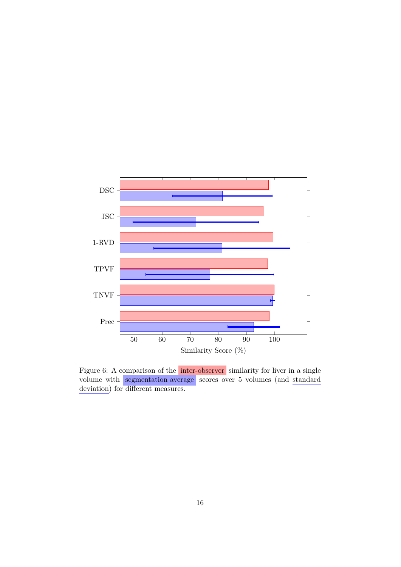

Figure 6: A comparison of the inter-observer similarity for liver in a single volume with segmentation average scores over 5 volumes (and standard deviation) for different measures.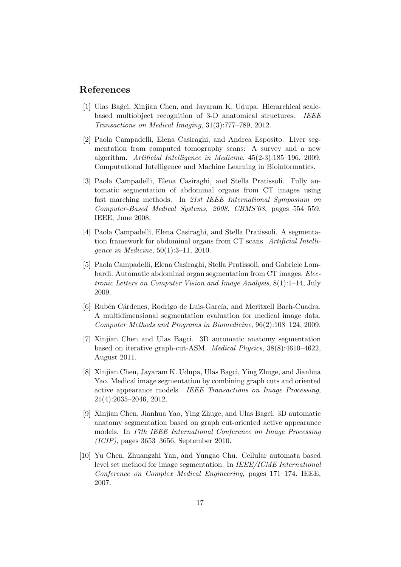## References

- [1] Ulas Bağci, Xinjian Chen, and Jayaram K. Udupa. Hierarchical scalebased multiobject recognition of 3-D anatomical structures. IEEE Transactions on Medical Imaging, 31(3):777–789, 2012.
- [2] Paola Campadelli, Elena Casiraghi, and Andrea Esposito. Liver segmentation from computed tomography scans: A survey and a new algorithm. Artificial Intelligence in Medicine, 45(2-3):185–196, 2009. Computational Intelligence and Machine Learning in Bioinformatics.
- [3] Paola Campadelli, Elena Casiraghi, and Stella Pratissoli. Fully automatic segmentation of abdominal organs from CT images using fast marching methods. In 21st IEEE International Symposium on Computer-Based Medical Systems, 2008. CBMS'08, pages 554–559. IEEE, June 2008.
- [4] Paola Campadelli, Elena Casiraghi, and Stella Pratissoli. A segmentation framework for abdominal organs from CT scans. Artificial Intelligence in Medicine, 50(1):3–11, 2010.
- [5] Paola Campadelli, Elena Casiraghi, Stella Pratissoli, and Gabriele Lombardi. Automatic abdominal organ segmentation from CT images. Electronic Letters on Computer Vision and Image Analysis, 8(1):1–14, July 2009.
- [6] Rubén Cárdenes, Rodrigo de Luis-García, and Meritxell Bach-Cuadra. A multidimensional segmentation evaluation for medical image data. Computer Methods and Programs in Biomedicine, 96(2):108–124, 2009.
- [7] Xinjian Chen and Ulas Bagci. 3D automatic anatomy segmentation based on iterative graph-cut-ASM. Medical Physics, 38(8):4610–4622, August 2011.
- [8] Xinjian Chen, Jayaram K. Udupa, Ulas Bagci, Ying Zhuge, and Jianhua Yao. Medical image segmentation by combining graph cuts and oriented active appearance models. IEEE Transactions on Image Processing, 21(4):2035–2046, 2012.
- [9] Xinjian Chen, Jianhua Yao, Ying Zhuge, and Ulas Bagci. 3D automatic anatomy segmentation based on graph cut-oriented active appearance models. In 17th IEEE International Conference on Image Processing (ICIP), pages 3653–3656, September 2010.
- [10] Yu Chen, Zhuangzhi Yan, and Yungao Chu. Cellular automata based level set method for image segmentation. In IEEE/ICME International Conference on Complex Medical Engineering, pages 171–174. IEEE, 2007.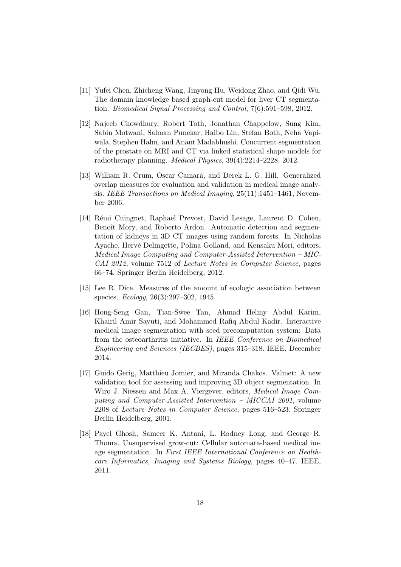- [11] Yufei Chen, Zhicheng Wang, Jinyong Hu, Weidong Zhao, and Qidi Wu. The domain knowledge based graph-cut model for liver CT segmentation. Biomedical Signal Processing and Control, 7(6):591–598, 2012.
- [12] Najeeb Chowdhury, Robert Toth, Jonathan Chappelow, Sung Kim, Sabin Motwani, Salman Punekar, Haibo Lin, Stefan Both, Neha Vapiwala, Stephen Hahn, and Anant Madabhushi. Concurrent segmentation of the prostate on MRI and CT via linked statistical shape models for radiotherapy planning. Medical Physics, 39(4):2214–2228, 2012.
- [13] William R. Crum, Oscar Camara, and Derek L. G. Hill. Generalized overlap measures for evaluation and validation in medical image analysis. IEEE Transactions on Medical Imaging, 25(11):1451–1461, November 2006.
- [14] Rémi Cuingnet, Raphael Prevost, David Lesage, Laurent D. Cohen, Benoît Mory, and Roberto Ardon. Automatic detection and segmentation of kidneys in 3D CT images using random forests. In Nicholas Ayache, Hervé Delingette, Polina Golland, and Kensaku Mori, editors, Medical Image Computing and Computer-Assisted Intervention – MIC-CAI 2012, volume 7512 of Lecture Notes in Computer Science, pages 66–74. Springer Berlin Heidelberg, 2012.
- [15] Lee R. Dice. Measures of the amount of ecologic association between species. Ecology, 26(3):297–302, 1945.
- [16] Hong-Seng Gan, Tian-Swee Tan, Ahmad Helmy Abdul Karim, Khairil Amir Sayuti, and Mohammed Rafiq Abdul Kadir. Interactive medical image segmentation with seed precomputation system: Data from the osteoarthritis initiative. In IEEE Conference on Biomedical Engineering and Sciences (IECBES), pages 315–318. IEEE, December 2014.
- [17] Guido Gerig, Matthieu Jomier, and Miranda Chakos. Valmet: A new validation tool for assessing and improving 3D object segmentation. In Wiro J. Niessen and Max A. Viergever, editors, Medical Image Computing and Computer-Assisted Intervention – MICCAI 2001, volume 2208 of Lecture Notes in Computer Science, pages 516–523. Springer Berlin Heidelberg, 2001.
- [18] Payel Ghosh, Sameer K. Antani, L. Rodney Long, and George R. Thoma. Unsupervised grow-cut: Cellular automata-based medical image segmentation. In First IEEE International Conference on Healthcare Informatics, Imaging and Systems Biology, pages 40–47. IEEE, 2011.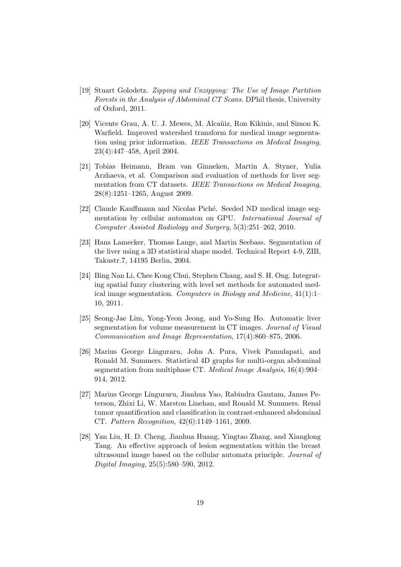- [19] Stuart Golodetz. Zipping and Unzipping: The Use of Image Partition Forests in the Analysis of Abdominal CT Scans. DPhil thesis, University of Oxford, 2011.
- [20] Vicente Grau, A. U. J. Mewes, M. Alcañiz, Ron Kikinis, and Simon K. Warfield. Improved watershed transform for medical image segmentation using prior information. IEEE Transactions on Medical Imaging, 23(4):447–458, April 2004.
- [21] Tobias Heimann, Bram van Ginneken, Martin A. Styner, Yulia Arzhaeva, et al. Comparison and evaluation of methods for liver segmentation from CT datasets. IEEE Transactions on Medical Imaging, 28(8):1251–1265, August 2009.
- [22] Claude Kauffmann and Nicolas Piché. Seeded ND medical image segmentation by cellular automaton on GPU. International Journal of Computer Assisted Radiology and Surgery, 5(3):251–262, 2010.
- [23] Hans Lamecker, Thomas Lange, and Martin Seebass. Segmentation of the liver using a 3D statistical shape model. Technical Report 4-9, ZIB, Takustr.7, 14195 Berlin, 2004.
- [24] Bing Nan Li, Chee Kong Chui, Stephen Chang, and S. H. Ong. Integrating spatial fuzzy clustering with level set methods for automated medical image segmentation. Computers in Biology and Medicine, 41(1):1– 10, 2011.
- [25] Seong-Jae Lim, Yong-Yeon Jeong, and Yo-Sung Ho. Automatic liver segmentation for volume measurement in CT images. Journal of Visual Communication and Image Representation, 17(4):860–875, 2006.
- [26] Marius George Linguraru, John A. Pura, Vivek Pamulapati, and Ronald M. Summers. Statistical 4D graphs for multi-organ abdominal segmentation from multiphase CT. Medical Image Analysis, 16(4):904– 914, 2012.
- [27] Marius George Linguraru, Jianhua Yao, Rabindra Gautam, James Peterson, Zhixi Li, W. Marston Linehan, and Ronald M. Summers. Renal tumor quantification and classification in contrast-enhanced abdominal CT. Pattern Recognition, 42(6):1149–1161, 2009.
- [28] Yan Liu, H. D. Cheng, Jianhua Huang, Yingtao Zhang, and Xianglong Tang. An effective approach of lesion segmentation within the breast ultrasound image based on the cellular automata principle. Journal of Digital Imaging, 25(5):580–590, 2012.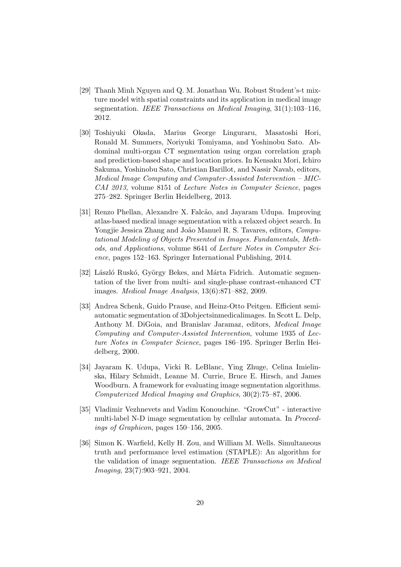- [29] Thanh Minh Nguyen and Q. M. Jonathan Wu. Robust Student's-t mixture model with spatial constraints and its application in medical image segmentation. IEEE Transactions on Medical Imaging, 31(1):103-116, 2012.
- [30] Toshiyuki Okada, Marius George Linguraru, Masatoshi Hori, Ronald M. Summers, Noriyuki Tomiyama, and Yoshinobu Sato. Abdominal multi-organ CT segmentation using organ correlation graph and prediction-based shape and location priors. In Kensaku Mori, Ichiro Sakuma, Yoshinobu Sato, Christian Barillot, and Nassir Navab, editors, Medical Image Computing and Computer-Assisted Intervention – MIC-CAI 2013, volume 8151 of Lecture Notes in Computer Science, pages 275–282. Springer Berlin Heidelberg, 2013.
- [31] Renzo Phellan, Alexandre X. Falcão, and Jayaram Udupa. Improving atlas-based medical image segmentation with a relaxed object search. In Yongjie Jessica Zhang and João Manuel R. S. Tavares, editors, Computational Modeling of Objects Presented in Images. Fundamentals, Methods, and Applications, volume 8641 of Lecture Notes in Computer Science, pages 152–163. Springer International Publishing, 2014.
- [32] László Ruskó, György Bekes, and Márta Fidrich. Automatic segmentation of the liver from multi- and single-phase contrast-enhanced CT images. Medical Image Analysis, 13(6):871–882, 2009.
- [33] Andrea Schenk, Guido Prause, and Heinz-Otto Peitgen. Efficient semiautomatic segmentation of 3Dobjectsinmedicalimages. In Scott L. Delp, Anthony M. DiGoia, and Branislav Jaramaz, editors, Medical Image Computing and Computer-Assisted Intervention, volume 1935 of Lecture Notes in Computer Science, pages 186–195. Springer Berlin Heidelberg, 2000.
- [34] Jayaram K. Udupa, Vicki R. LeBlanc, Ying Zhuge, Celina Imielinska, Hilary Schmidt, Leanne M. Currie, Bruce E. Hirsch, and James Woodburn. A framework for evaluating image segmentation algorithms. Computerized Medical Imaging and Graphics, 30(2):75–87, 2006.
- [35] Vladimir Vezhnevets and Vadim Konouchine. "GrowCut" interactive multi-label N-D image segmentation by cellular automata. In *Proceed*ings of Graphicon, pages 150–156, 2005.
- [36] Simon K. Warfield, Kelly H. Zou, and William M. Wells. Simultaneous truth and performance level estimation (STAPLE): An algorithm for the validation of image segmentation. IEEE Transactions on Medical Imaging, 23(7):903–921, 2004.